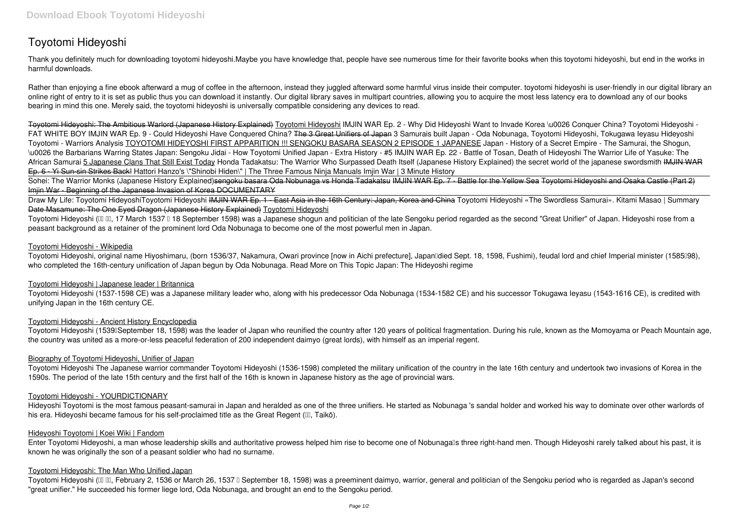# **Toyotomi Hideyoshi**

Thank you definitely much for downloading **toyotomi hideyoshi**.Maybe you have knowledge that, people have see numerous time for their favorite books when this toyotomi hideyoshi, but end in the works in harmful downloads.

Rather than enjoying a fine ebook afterward a mug of coffee in the afternoon, instead they juggled afterward some harmful virus inside their computer. **toyotomi hideyoshi** is user-friendly in our digital library an online right of entry to it is set as public thus you can download it instantly. Our digital library saves in multipart countries, allowing you to acquire the most less latency era to download any of our books bearing in mind this one. Merely said, the toyotomi hideyoshi is universally compatible considering any devices to read.

Sohei: The Warrior Monks (Japanese History Explained)sengoku basara Oda Nobunaga vs Honda Tadakatsu IMJIN WAR Ep. 7 - Battle for the Yellow Sea Tovotomi Hidevoshi and Osaka Castle (Part 2) Imjin War - Beginning of the Japanese Invasion of Korea DOCUMENTARY

Toyotomi Hideyoshi: The Ambitious Warlord (Japanese History Explained) Toyotomi Hideyoshi *IMJIN WAR Ep. 2 - Why Did Hideyoshi Want to Invade Korea \u0026 Conquer China? Toyotomi Hideyoshi - FAT WHITE BOY* IMJIN WAR Ep. 9 - Could Hideyoshi Have Conquered China? The 3 Great Unifiers of Japan *3 Samurais built Japan - Oda Nobunaga, Toyotomi Hideyoshi, Tokugawa Ieyasu Hideyoshi Toyotomi - Warriors Analysis* TOYOTOMI HIDEYOSHI FIRST APPARITION !!! SENGOKU BASARA SEASON 2 EPISODE 1 JAPANESE **Japan - History of a Secret Empire - The Samurai, the Shogun, \u0026 the Barbarians Warring States Japan: Sengoku Jidai - How Toyotomi Unified Japan - Extra History - #5** IMJIN WAR Ep. 22 - Battle of Tosan, Death of Hideyoshi The Warrior Life of Yasuke: The African Samurai 5 Japanese Clans That Still Exist Today *Honda Tadakatsu: The Warrior Who Surpassed Death Itself (Japanese History Explained) the secret world of the japanese swordsmith* IMJIN WAR Ep. 6 - Yi Sun-sin Strikes Back! *Hattori Hanzo's \"Shinobi Hiden\" | The Three Famous Ninja Manuals Imjin War | 3 Minute History*

Toyotomi Hideyoshi (
<sup>[1]</sup> III, 17 March 1537 | 18 September 1598) was a Japanese shogun and politician of the late Sengoku period regarded as the second "Great Unifier" of Japan. Hideyoshi rose from a peasant background as a retainer of the prominent lord Oda Nobunaga to become one of the most powerful men in Japan.

Toyotomi Hideyoshi, original name Hiyoshimaru, (born 1536/37, Nakamura, Owari province [now in Aichi prefecture], Japan[Idied Sept. 18, 1598, Fushimi), feudal lord and chief Imperial minister (1585[98), who completed the 16th-century unification of Japan begun by Oda Nobunaga. Read More on This Topic Japan: The Hideyoshi regime

Toyotomi Hideyoshi (1539 September 18, 1598) was the leader of Japan who reunified the country after 120 years of political fragmentation. During his rule, known as the Momoyama or Peach Mountain age, the country was united as a more-or-less peaceful federation of 200 independent daimyo (great lords), with himself as an imperial regent.

Hideyoshi Toyotomi is the most famous peasant-samurai in Japan and heralded as one of the three unifiers. He started as Nobunaga 's sandal holder and worked his way to dominate over other warlords of his era. Hideyoshi became famous for his self-proclaimed title as the Great Regent ( $\mathbb{II}$ , Taikō).

Draw My Life: Toyotomi Hideyoshi**Toyotomi Hideyoshi** IMJIN WAR Ep. 1 - East Asia in the 16th Century: Japan, Korea and China *Toyotomi Hideyoshi «The Swordless Samurai». Kitami Masao | Summary* Date Masamune: The One Eyed Dragon (Japanese History Explained) Toyotomi Hideyoshi

Enter Toyotomi Hideyoshi, a man whose leadership skills and authoritative prowess helped him rise to become one of Nobunagalls three right-hand men. Though Hideyoshi rarely talked about his past, it is known he was originally the son of a peasant soldier who had no surname.

Toyotomi Hideyoshi (HH), February 2, 1536 or March 26, 1537 II September 18, 1598) was a preeminent daimyo, warrior, general and politician of the Sengoku period who is regarded as Japan's second "great unifier." He succeeded his former liege lord, Oda Nobunaga, and brought an end to the Sengoku period.

#### Toyotomi Hideyoshi - Wikipedia

# Toyotomi Hideyoshi | Japanese leader | Britannica

Toyotomi Hideyoshi (1537-1598 CE) was a Japanese military leader who, along with his predecessor Oda Nobunaga (1534-1582 CE) and his successor Tokugawa Ieyasu (1543-1616 CE), is credited with unifying Japan in the 16th century CE.

# Toyotomi Hideyoshi - Ancient History Encyclopedia

# Biography of Toyotomi Hideyoshi, Unifier of Japan

Toyotomi Hideyoshi The Japanese warrior commander Toyotomi Hideyoshi (1536-1598) completed the military unification of the country in the late 16th century and undertook two invasions of Korea in the 1590s. The period of the late 15th century and the first half of the 16th is known in Japanese history as the age of provincial wars.

# Toyotomi Hideyoshi - YOURDICTIONARY

#### Hideyoshi Toyotomi | Koei Wiki | Fandom

# Toyotomi Hideyoshi: The Man Who Unified Japan